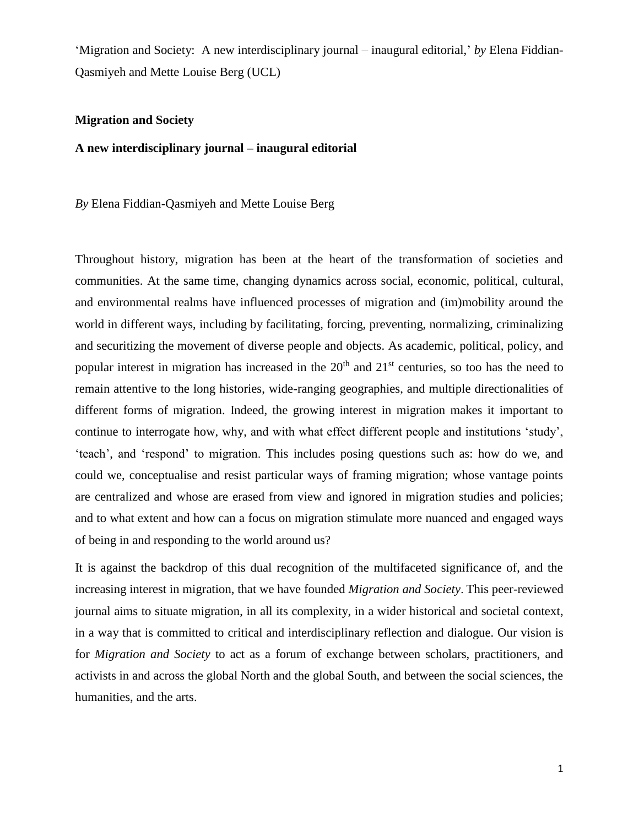## **Migration and Society**

## **A new interdisciplinary journal – inaugural editorial**

*By* Elena Fiddian-Qasmiyeh and Mette Louise Berg

Throughout history, migration has been at the heart of the transformation of societies and communities. At the same time, changing dynamics across social, economic, political, cultural, and environmental realms have influenced processes of migration and (im)mobility around the world in different ways, including by facilitating, forcing, preventing, normalizing, criminalizing and securitizing the movement of diverse people and objects. As academic, political, policy, and popular interest in migration has increased in the  $20<sup>th</sup>$  and  $21<sup>st</sup>$  centuries, so too has the need to remain attentive to the long histories, wide-ranging geographies, and multiple directionalities of different forms of migration. Indeed, the growing interest in migration makes it important to continue to interrogate how, why, and with what effect different people and institutions 'study', 'teach', and 'respond' to migration. This includes posing questions such as: how do we, and could we, conceptualise and resist particular ways of framing migration; whose vantage points are centralized and whose are erased from view and ignored in migration studies and policies; and to what extent and how can a focus on migration stimulate more nuanced and engaged ways of being in and responding to the world around us?

It is against the backdrop of this dual recognition of the multifaceted significance of, and the increasing interest in migration, that we have founded *Migration and Society*. This peer-reviewed journal aims to situate migration, in all its complexity, in a wider historical and societal context, in a way that is committed to critical and interdisciplinary reflection and dialogue. Our vision is for *Migration and Society* to act as a forum of exchange between scholars, practitioners, and activists in and across the global North and the global South, and between the social sciences, the humanities, and the arts.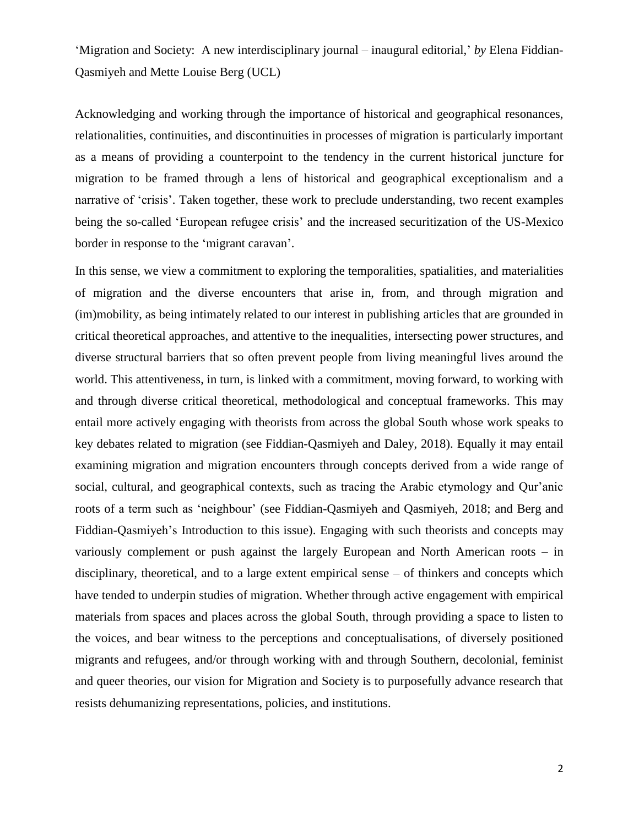Acknowledging and working through the importance of historical and geographical resonances, relationalities, continuities, and discontinuities in processes of migration is particularly important as a means of providing a counterpoint to the tendency in the current historical juncture for migration to be framed through a lens of historical and geographical exceptionalism and a narrative of 'crisis'. Taken together, these work to preclude understanding, two recent examples being the so-called 'European refugee crisis' and the increased securitization of the US-Mexico border in response to the 'migrant caravan'.

In this sense, we view a commitment to exploring the temporalities, spatialities, and materialities of migration and the diverse encounters that arise in, from, and through migration and (im)mobility, as being intimately related to our interest in publishing articles that are grounded in critical theoretical approaches, and attentive to the inequalities, intersecting power structures, and diverse structural barriers that so often prevent people from living meaningful lives around the world. This attentiveness, in turn, is linked with a commitment, moving forward, to working with and through diverse critical theoretical, methodological and conceptual frameworks. This may entail more actively engaging with theorists from across the global South whose work speaks to key debates related to migration (see Fiddian-Qasmiyeh and Daley, 2018). Equally it may entail examining migration and migration encounters through concepts derived from a wide range of social, cultural, and geographical contexts, such as tracing the Arabic etymology and Qur'anic roots of a term such as 'neighbour' (see Fiddian-Qasmiyeh and Qasmiyeh, 2018; and Berg and Fiddian-Qasmiyeh's Introduction to this issue). Engaging with such theorists and concepts may variously complement or push against the largely European and North American roots – in disciplinary, theoretical, and to a large extent empirical sense – of thinkers and concepts which have tended to underpin studies of migration. Whether through active engagement with empirical materials from spaces and places across the global South, through providing a space to listen to the voices, and bear witness to the perceptions and conceptualisations, of diversely positioned migrants and refugees, and/or through working with and through Southern, decolonial, feminist and queer theories, our vision for Migration and Society is to purposefully advance research that resists dehumanizing representations, policies, and institutions.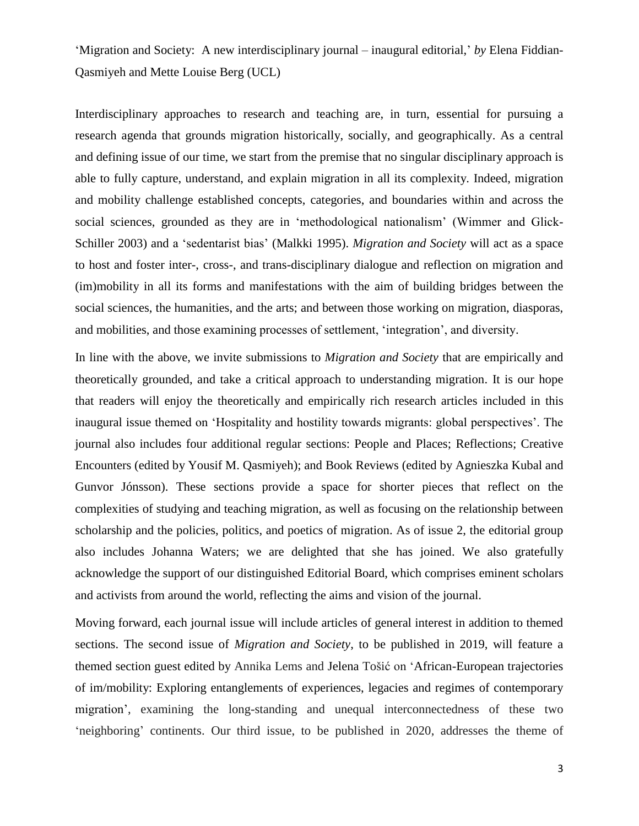Interdisciplinary approaches to research and teaching are, in turn, essential for pursuing a research agenda that grounds migration historically, socially, and geographically. As a central and defining issue of our time, we start from the premise that no singular disciplinary approach is able to fully capture, understand, and explain migration in all its complexity. Indeed, migration and mobility challenge established concepts, categories, and boundaries within and across the social sciences, grounded as they are in 'methodological nationalism' (Wimmer and Glick-Schiller 2003) and a 'sedentarist bias' (Malkki 1995). *Migration and Society* will act as a space to host and foster inter-, cross-, and trans-disciplinary dialogue and reflection on migration and (im)mobility in all its forms and manifestations with the aim of building bridges between the social sciences, the humanities, and the arts; and between those working on migration, diasporas, and mobilities, and those examining processes of settlement, 'integration', and diversity.

In line with the above, we invite submissions to *Migration and Society* that are empirically and theoretically grounded, and take a critical approach to understanding migration. It is our hope that readers will enjoy the theoretically and empirically rich research articles included in this inaugural issue themed on 'Hospitality and hostility towards migrants: global perspectives'. The journal also includes four additional regular sections: People and Places; Reflections; Creative Encounters (edited by Yousif M. Qasmiyeh); and Book Reviews (edited by Agnieszka Kubal and Gunvor Jónsson). These sections provide a space for shorter pieces that reflect on the complexities of studying and teaching migration, as well as focusing on the relationship between scholarship and the policies, politics, and poetics of migration. As of issue 2, the editorial group also includes Johanna Waters; we are delighted that she has joined. We also gratefully acknowledge the support of our distinguished Editorial Board, which comprises eminent scholars and activists from around the world, reflecting the aims and vision of the journal.

Moving forward, each journal issue will include articles of general interest in addition to themed sections. The second issue of *Migration and Society*, to be published in 2019, will feature a themed section guest edited by Annika Lems and Jelena Tošić on 'African-European trajectories of im/mobility: Exploring entanglements of experiences, legacies and regimes of contemporary migration', examining the long-standing and unequal interconnectedness of these two 'neighboring' continents. Our third issue, to be published in 2020, addresses the theme of